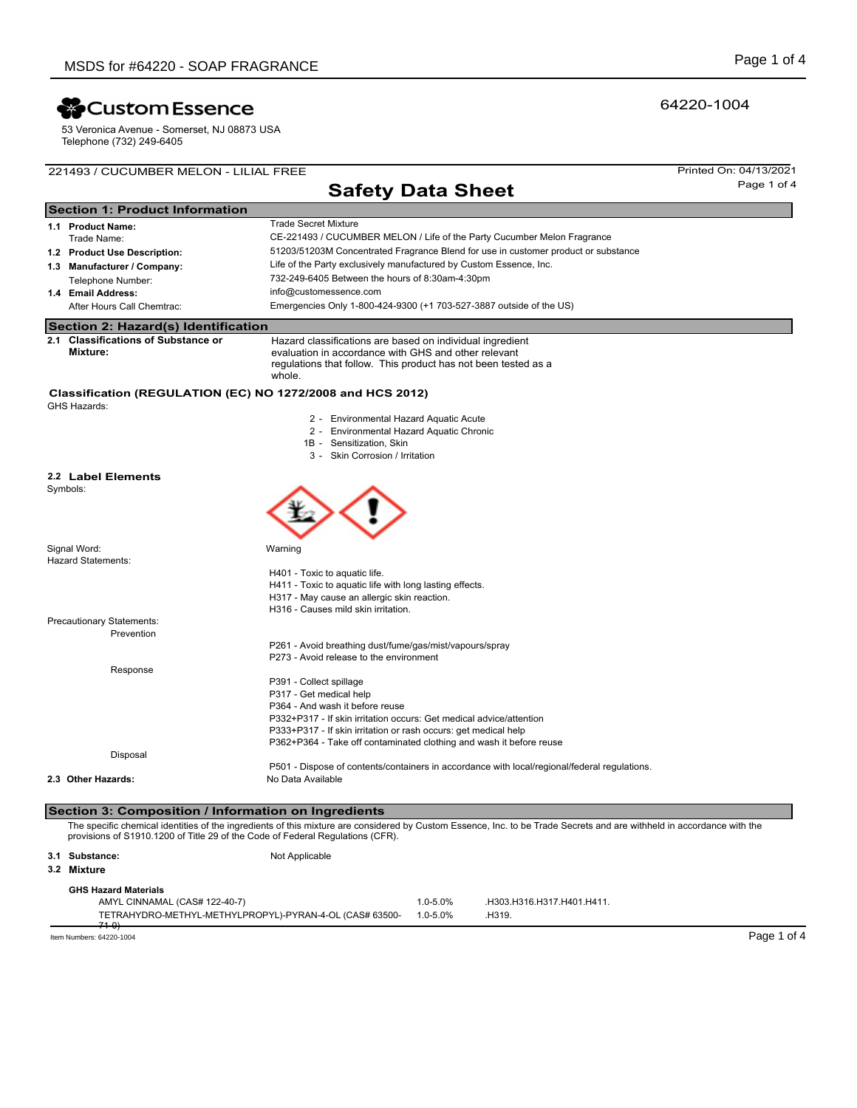# **X** Custom Essence

53 Veronica Avenue - Somerset, NJ 08873 USA Telephone (732) 249-6405

## 221493 / CUCUMBER MELON - LILIAL FREE Printed On: 04/13/2021

# **Safety Data Sheet** Page 1 of 4

| <b>Section 1: Product Information</b> |                                                                            |                                                                                                                                                                                               |  |  |  |  |  |
|---------------------------------------|----------------------------------------------------------------------------|-----------------------------------------------------------------------------------------------------------------------------------------------------------------------------------------------|--|--|--|--|--|
|                                       | 1.1 Product Name:                                                          | <b>Trade Secret Mixture</b>                                                                                                                                                                   |  |  |  |  |  |
|                                       | Trade Name:                                                                | CE-221493 / CUCUMBER MELON / Life of the Party Cucumber Melon Fragrance                                                                                                                       |  |  |  |  |  |
|                                       | 1.2 Product Use Description:                                               | 51203/51203M Concentrated Fragrance Blend for use in customer product or substance                                                                                                            |  |  |  |  |  |
|                                       | 1.3 Manufacturer / Company:                                                | Life of the Party exclusively manufactured by Custom Essence, Inc.                                                                                                                            |  |  |  |  |  |
|                                       | Telephone Number:                                                          | 732-249-6405 Between the hours of 8:30am-4:30pm                                                                                                                                               |  |  |  |  |  |
|                                       | 1.4 Email Address:                                                         | info@customessence.com                                                                                                                                                                        |  |  |  |  |  |
|                                       | After Hours Call Chemtrac:                                                 | Emergencies Only 1-800-424-9300 (+1 703-527-3887 outside of the US)                                                                                                                           |  |  |  |  |  |
|                                       | Section 2: Hazard(s) Identification                                        |                                                                                                                                                                                               |  |  |  |  |  |
|                                       | 2.1 Classifications of Substance or<br>Mixture:                            | Hazard classifications are based on individual ingredient<br>evaluation in accordance with GHS and other relevant<br>regulations that follow. This product has not been tested as a<br>whole. |  |  |  |  |  |
|                                       | Classification (REGULATION (EC) NO 1272/2008 and HCS 2012)<br>GHS Hazards: |                                                                                                                                                                                               |  |  |  |  |  |
|                                       |                                                                            | O Faciacamental Homes America Angeles                                                                                                                                                         |  |  |  |  |  |

- 2 Environmental Hazard Aquatic Acute
- 2 Environmental Hazard Aquatic Chronic
- 1B Sensitization, Skin

 $\curvearrowright \curvearrowright$ 

3 - Skin Corrosion / Irritation

#### **2.2 Label Elements**

Symbols:

| Signal Word:<br><b>Hazard Statements:</b> | Warning                                                                                      |
|-------------------------------------------|----------------------------------------------------------------------------------------------|
|                                           | H401 - Toxic to aquatic life.                                                                |
|                                           | H411 - Toxic to aquatic life with long lasting effects.                                      |
|                                           | H317 - May cause an allergic skin reaction.                                                  |
|                                           | H316 - Causes mild skin irritation.                                                          |
| Precautionary Statements:                 |                                                                                              |
| Prevention                                |                                                                                              |
|                                           | P261 - Avoid breathing dust/fume/gas/mist/vapours/spray                                      |
|                                           | P273 - Avoid release to the environment                                                      |
| Response                                  |                                                                                              |
|                                           | P391 - Collect spillage                                                                      |
|                                           | P317 - Get medical help                                                                      |
|                                           | P364 - And wash it before reuse                                                              |
|                                           | P332+P317 - If skin irritation occurs: Get medical advice/attention                          |
|                                           | P333+P317 - If skin irritation or rash occurs: get medical help                              |
|                                           | P362+P364 - Take off contaminated clothing and wash it before reuse                          |
| Disposal                                  |                                                                                              |
|                                           | P501 - Dispose of contents/containers in accordance with local/regional/federal regulations. |
| 2.3 Other Hazards:                        | No Data Available                                                                            |

#### **Section 3: Composition / Information on Ingredients**

The specific chemical identities of the ingredients of this mixture are considered by Custom Essence, Inc. to be Trade Secrets and are withheld in accordance with the<br>provisions of S1910.1200 of Title 29 of the Code of Fed

**3.1 Substance:** Not Applicable **GHS Hazard Materials 3.2 Mixture** AMYL CINNAMAL (CAS# 122-40-7) 1.0-5.0% .H303.H316.H317.H401.H411. TETRAHYDRO-METHYL-METHYLPROPYL)-PYRAN-4-OL (CAS# 63500- 71-0) 1.0-5.0% .H319.

Item Numbers: 64220-1004 Page 1 of 4

## 64220-1004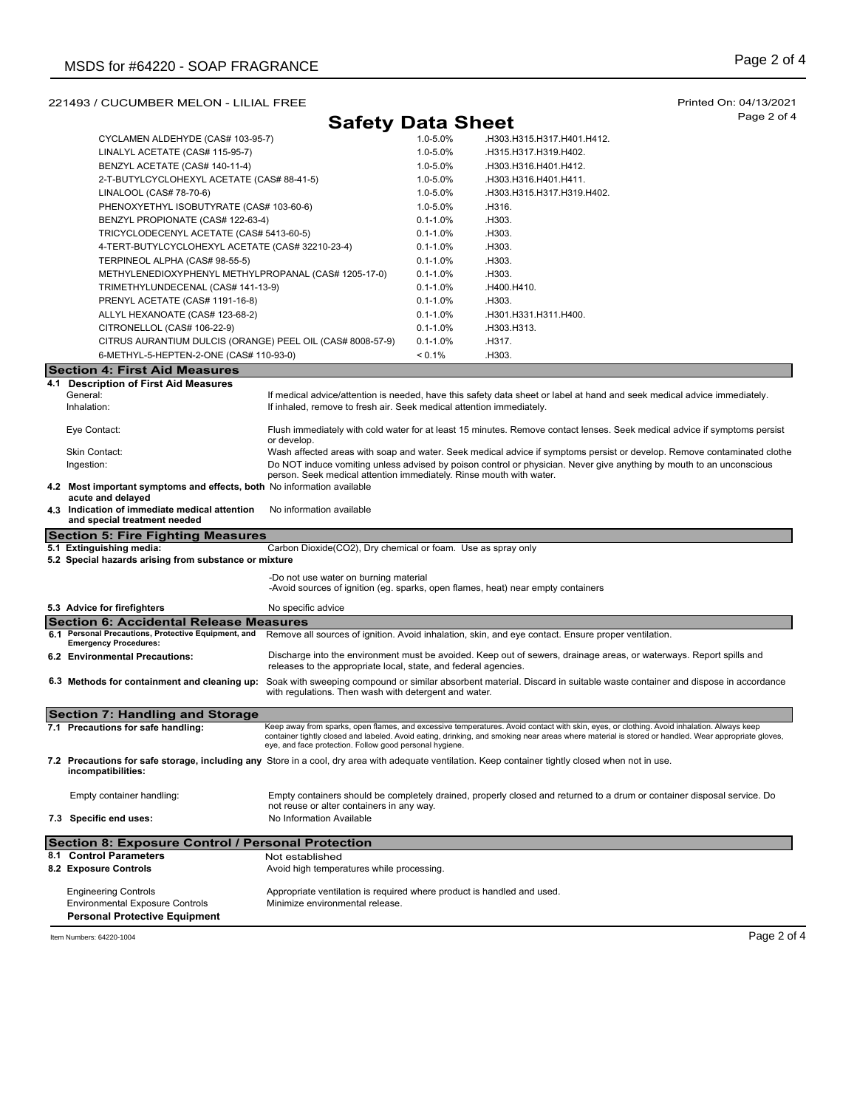## 221493 / CUCUMBER MELON - LILIAL FREE Printed On: 04/13/2021

**Safety Data Sheet** Page 2 of 4

|     | CYCLAMEN ALDEHYDE (CAS# 103-95-7)                                                           |                                                                                                           | 1.0-5.0%     | .H303.H315.H317.H401.H412.                                                                                                                                                                                                                                                                      |
|-----|---------------------------------------------------------------------------------------------|-----------------------------------------------------------------------------------------------------------|--------------|-------------------------------------------------------------------------------------------------------------------------------------------------------------------------------------------------------------------------------------------------------------------------------------------------|
|     | LINALYL ACETATE (CAS# 115-95-7)                                                             |                                                                                                           | 1.0-5.0%     | .H315.H317.H319.H402.                                                                                                                                                                                                                                                                           |
|     | BENZYL ACETATE (CAS# 140-11-4)                                                              |                                                                                                           | 1.0-5.0%     | .H303.H316.H401.H412.                                                                                                                                                                                                                                                                           |
|     | 2-T-BUTYLCYCLOHEXYL ACETATE (CAS# 88-41-5)                                                  |                                                                                                           | 1.0-5.0%     | .H303.H316.H401.H411.                                                                                                                                                                                                                                                                           |
|     | LINALOOL (CAS# 78-70-6)                                                                     |                                                                                                           | 1.0-5.0%     | .H303.H315.H317.H319.H402.                                                                                                                                                                                                                                                                      |
|     | PHENOXYETHYL ISOBUTYRATE (CAS# 103-60-6)                                                    |                                                                                                           | 1.0-5.0%     | .H316.                                                                                                                                                                                                                                                                                          |
|     | BENZYL PROPIONATE (CAS# 122-63-4)                                                           |                                                                                                           | $0.1 - 1.0%$ | .H303.                                                                                                                                                                                                                                                                                          |
|     | TRICYCLODECENYL ACETATE (CAS# 5413-60-5)                                                    |                                                                                                           | $0.1 - 1.0%$ | .H303.                                                                                                                                                                                                                                                                                          |
|     | 4-TERT-BUTYLCYCLOHEXYL ACETATE (CAS# 32210-23-4)                                            |                                                                                                           | $0.1 - 1.0%$ | .H303.                                                                                                                                                                                                                                                                                          |
|     | TERPINEOL ALPHA (CAS# 98-55-5)                                                              |                                                                                                           | $0.1 - 1.0%$ | .H303.                                                                                                                                                                                                                                                                                          |
|     | METHYLENEDIOXYPHENYL METHYLPROPANAL (CAS# 1205-17-0)                                        |                                                                                                           | $0.1 - 1.0%$ | .H303.                                                                                                                                                                                                                                                                                          |
|     | TRIMETHYLUNDECENAL (CAS# 141-13-9)                                                          |                                                                                                           | $0.1 - 1.0%$ | .H400.H410.                                                                                                                                                                                                                                                                                     |
|     | PRENYL ACETATE (CAS# 1191-16-8)                                                             |                                                                                                           | $0.1 - 1.0%$ | .H303.                                                                                                                                                                                                                                                                                          |
|     | ALLYL HEXANOATE (CAS# 123-68-2)                                                             |                                                                                                           | $0.1 - 1.0%$ | .H301.H331.H311.H400.                                                                                                                                                                                                                                                                           |
|     | CITRONELLOL (CAS# 106-22-9)                                                                 |                                                                                                           | $0.1 - 1.0%$ | .H303.H313.                                                                                                                                                                                                                                                                                     |
|     | CITRUS AURANTIUM DULCIS (ORANGE) PEEL OIL (CAS# 8008-57-9)                                  |                                                                                                           | $0.1 - 1.0%$ | .H317.                                                                                                                                                                                                                                                                                          |
|     | 6-METHYL-5-HEPTEN-2-ONE (CAS# 110-93-0)                                                     |                                                                                                           | < 0.1%       | .H303.                                                                                                                                                                                                                                                                                          |
|     |                                                                                             |                                                                                                           |              |                                                                                                                                                                                                                                                                                                 |
|     | <b>Section 4: First Aid Measures</b>                                                        |                                                                                                           |              |                                                                                                                                                                                                                                                                                                 |
|     | 4.1 Description of First Aid Measures<br>General:                                           |                                                                                                           |              | If medical advice/attention is needed, have this safety data sheet or label at hand and seek medical advice immediately.                                                                                                                                                                        |
|     | Inhalation:                                                                                 | If inhaled, remove to fresh air. Seek medical attention immediately.                                      |              |                                                                                                                                                                                                                                                                                                 |
|     |                                                                                             |                                                                                                           |              |                                                                                                                                                                                                                                                                                                 |
|     | Eye Contact:                                                                                | or develop.                                                                                               |              | Flush immediately with cold water for at least 15 minutes. Remove contact lenses. Seek medical advice if symptoms persist                                                                                                                                                                       |
|     | Skin Contact:                                                                               |                                                                                                           |              | Wash affected areas with soap and water. Seek medical advice if symptoms persist or develop. Remove contaminated clothe                                                                                                                                                                         |
|     | Ingestion:                                                                                  |                                                                                                           |              | Do NOT induce vomiting unless advised by poison control or physician. Never give anything by mouth to an unconscious                                                                                                                                                                            |
|     |                                                                                             | person. Seek medical attention immediately. Rinse mouth with water.                                       |              |                                                                                                                                                                                                                                                                                                 |
|     | 4.2 Most important symptoms and effects, both No information available<br>acute and delayed |                                                                                                           |              |                                                                                                                                                                                                                                                                                                 |
|     | 4.3 Indication of immediate medical attention<br>and special treatment needed               | No information available                                                                                  |              |                                                                                                                                                                                                                                                                                                 |
|     |                                                                                             |                                                                                                           |              |                                                                                                                                                                                                                                                                                                 |
|     | <b>Section 5: Fire Fighting Measures</b>                                                    |                                                                                                           |              |                                                                                                                                                                                                                                                                                                 |
|     | 5.1 Extinguishing media:                                                                    | Carbon Dioxide(CO2), Dry chemical or foam. Use as spray only                                              |              |                                                                                                                                                                                                                                                                                                 |
|     | 5.2 Special hazards arising from substance or mixture                                       |                                                                                                           |              |                                                                                                                                                                                                                                                                                                 |
|     |                                                                                             | -Do not use water on burning material                                                                     |              |                                                                                                                                                                                                                                                                                                 |
|     |                                                                                             | -Avoid sources of ignition (eg. sparks, open flames, heat) near empty containers                          |              |                                                                                                                                                                                                                                                                                                 |
|     | 5.3 Advice for firefighters                                                                 | No specific advice                                                                                        |              |                                                                                                                                                                                                                                                                                                 |
|     | <b>Section 6: Accidental Release Measures</b>                                               |                                                                                                           |              |                                                                                                                                                                                                                                                                                                 |
| 6.1 | Personal Precautions, Protective Equipment, and                                             |                                                                                                           |              | Remove all sources of ignition. Avoid inhalation, skin, and eye contact. Ensure proper ventilation.                                                                                                                                                                                             |
|     | <b>Emergency Procedures:</b>                                                                |                                                                                                           |              |                                                                                                                                                                                                                                                                                                 |
|     | 6.2 Environmental Precautions:                                                              | releases to the appropriate local, state, and federal agencies.                                           |              | Discharge into the environment must be avoided. Keep out of sewers, drainage areas, or waterways. Report spills and                                                                                                                                                                             |
|     |                                                                                             |                                                                                                           |              |                                                                                                                                                                                                                                                                                                 |
|     | 6.3 Methods for containment and cleaning up:                                                | with regulations. Then wash with detergent and water.                                                     |              | Soak with sweeping compound or similar absorbent material. Discard in suitable waste container and dispose in accordance                                                                                                                                                                        |
|     |                                                                                             |                                                                                                           |              |                                                                                                                                                                                                                                                                                                 |
|     | Section 7: Handling and Storage                                                             |                                                                                                           |              |                                                                                                                                                                                                                                                                                                 |
|     | 7.1 Precautions for safe handling:                                                          |                                                                                                           |              | Keep away from sparks, open flames, and excessive temperatures. Avoid contact with skin, eyes, or clothing. Avoid inhalation. Always keep<br>container tightly closed and labeled. Avoid eating, drinking, and smoking near areas where material is stored or handled. Wear appropriate gloves, |
|     |                                                                                             | eye, and face protection. Follow good personal hygiene.                                                   |              |                                                                                                                                                                                                                                                                                                 |
|     |                                                                                             |                                                                                                           |              | 7.2 Precautions for safe storage, including any Store in a cool, dry area with adequate ventilation. Keep container tightly closed when not in use.                                                                                                                                             |
|     | incompatibilities:                                                                          |                                                                                                           |              |                                                                                                                                                                                                                                                                                                 |
|     |                                                                                             |                                                                                                           |              |                                                                                                                                                                                                                                                                                                 |
|     | Empty container handling:                                                                   | not reuse or alter containers in any way.                                                                 |              | Empty containers should be completely drained, properly closed and returned to a drum or container disposal service. Do                                                                                                                                                                         |
|     | 7.3 Specific end uses:                                                                      | No Information Available                                                                                  |              |                                                                                                                                                                                                                                                                                                 |
|     | Section 8: Exposure Control / Personal Protection                                           |                                                                                                           |              |                                                                                                                                                                                                                                                                                                 |
|     | 8.1 Control Parameters                                                                      | Not established                                                                                           |              |                                                                                                                                                                                                                                                                                                 |
|     | 8.2 Exposure Controls                                                                       | Avoid high temperatures while processing.                                                                 |              |                                                                                                                                                                                                                                                                                                 |
|     |                                                                                             |                                                                                                           |              |                                                                                                                                                                                                                                                                                                 |
|     | <b>Engineering Controls</b><br><b>Environmental Exposure Controls</b>                       | Appropriate ventilation is required where product is handled and used.<br>Minimize environmental release. |              |                                                                                                                                                                                                                                                                                                 |

Item Numbers: 64220-1004 Page 2 of 4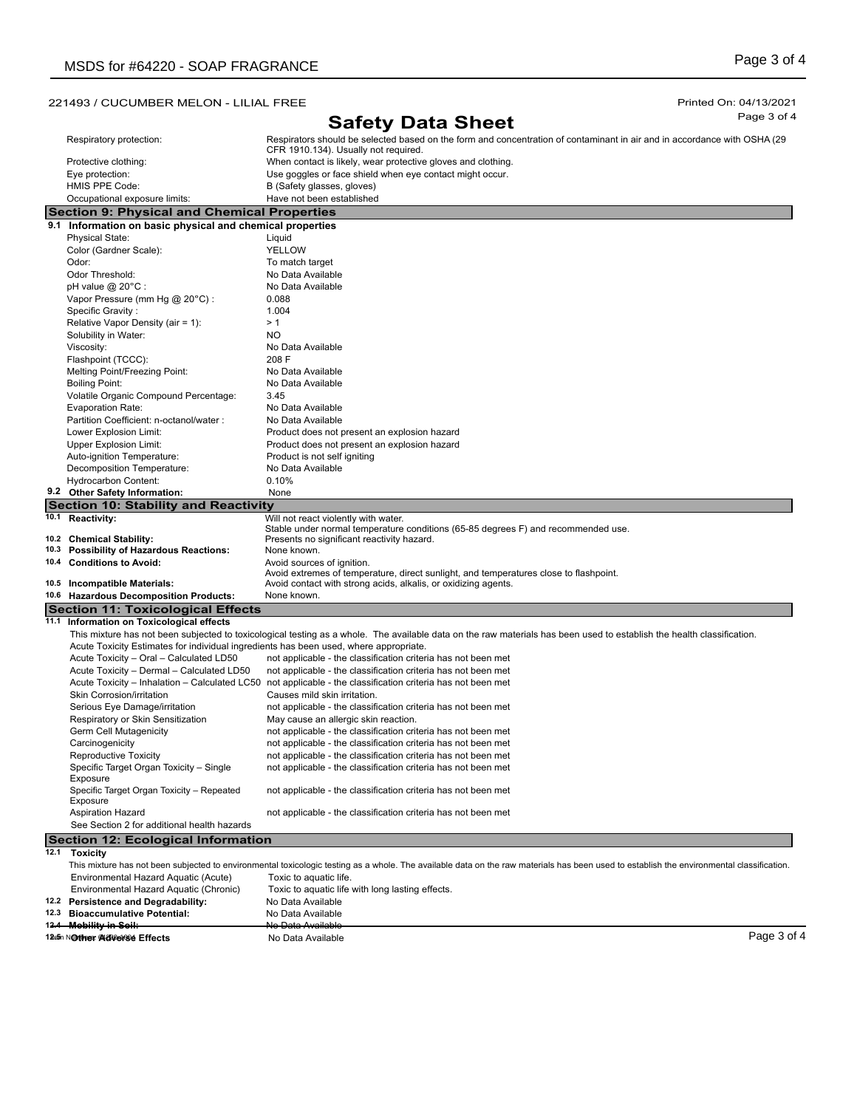## 221493 / CUCUMBER MELON - LILIAL FREE Printed On: 04/13/2021

# **Safety Data Sheet** Page 3 of 4

|      |                                                                                       | <b>OUIULY DULU ONUU</b>                                                                                                                                                                   |
|------|---------------------------------------------------------------------------------------|-------------------------------------------------------------------------------------------------------------------------------------------------------------------------------------------|
|      | Respiratory protection:                                                               | Respirators should be selected based on the form and concentration of contaminant in air and in accordance with OSHA (29                                                                  |
|      |                                                                                       | CFR 1910.134). Usually not required.                                                                                                                                                      |
|      | Protective clothing:                                                                  | When contact is likely, wear protective gloves and clothing.                                                                                                                              |
|      | Eye protection:                                                                       | Use goggles or face shield when eye contact might occur.                                                                                                                                  |
|      | HMIS PPE Code:                                                                        | B (Safety glasses, gloves)                                                                                                                                                                |
|      | Occupational exposure limits:                                                         | Have not been established                                                                                                                                                                 |
|      | <b>Section 9: Physical and Chemical Properties</b>                                    |                                                                                                                                                                                           |
|      | 9.1 Information on basic physical and chemical properties                             |                                                                                                                                                                                           |
|      | <b>Physical State:</b>                                                                | Liquid                                                                                                                                                                                    |
|      |                                                                                       | <b>YELLOW</b>                                                                                                                                                                             |
|      | Color (Gardner Scale):                                                                |                                                                                                                                                                                           |
|      | Odor:                                                                                 | To match target                                                                                                                                                                           |
|      | Odor Threshold:                                                                       | No Data Available                                                                                                                                                                         |
|      | pH value $@$ 20 $°C$ :                                                                | No Data Available                                                                                                                                                                         |
|      | Vapor Pressure (mm Hg @ 20°C) :                                                       | 0.088                                                                                                                                                                                     |
|      | Specific Gravity:                                                                     | 1.004                                                                                                                                                                                     |
|      | Relative Vapor Density (air = 1):                                                     | >1                                                                                                                                                                                        |
|      | Solubility in Water:                                                                  | NO.                                                                                                                                                                                       |
|      | Viscosity:                                                                            | No Data Available                                                                                                                                                                         |
|      | Flashpoint (TCCC):                                                                    | 208 F                                                                                                                                                                                     |
|      | Melting Point/Freezing Point:                                                         | No Data Available                                                                                                                                                                         |
|      |                                                                                       |                                                                                                                                                                                           |
|      | <b>Boiling Point:</b>                                                                 | No Data Available                                                                                                                                                                         |
|      | Volatile Organic Compound Percentage:                                                 | 3.45                                                                                                                                                                                      |
|      | Evaporation Rate:                                                                     | No Data Available                                                                                                                                                                         |
|      | Partition Coefficient: n-octanol/water:                                               | No Data Available                                                                                                                                                                         |
|      | Lower Explosion Limit:                                                                | Product does not present an explosion hazard                                                                                                                                              |
|      | Upper Explosion Limit:                                                                | Product does not present an explosion hazard                                                                                                                                              |
|      | Auto-ignition Temperature:                                                            | Product is not self igniting                                                                                                                                                              |
|      | Decomposition Temperature:                                                            | No Data Available                                                                                                                                                                         |
|      | <b>Hydrocarbon Content:</b>                                                           | 0.10%                                                                                                                                                                                     |
|      | 9.2 Other Safety Information:                                                         | None                                                                                                                                                                                      |
|      | <b>Section 10: Stability and Reactivity</b>                                           |                                                                                                                                                                                           |
|      |                                                                                       | Will not react violently with water.                                                                                                                                                      |
|      | 10.1 Reactivity:                                                                      | Stable under normal temperature conditions (65-85 degrees F) and recommended use.                                                                                                         |
|      | 10.2 Chemical Stability:                                                              | Presents no significant reactivity hazard.                                                                                                                                                |
|      | 10.3 Possibility of Hazardous Reactions:                                              | None known.                                                                                                                                                                               |
|      | 10.4 Conditions to Avoid:                                                             |                                                                                                                                                                                           |
|      |                                                                                       | Avoid sources of ignition.<br>Avoid extremes of temperature, direct sunlight, and temperatures close to flashpoint.                                                                       |
|      | 10.5 Incompatible Materials:                                                          | Avoid contact with strong acids, alkalis, or oxidizing agents.                                                                                                                            |
|      | 10.6 Hazardous Decomposition Products:                                                | None known.                                                                                                                                                                               |
|      |                                                                                       |                                                                                                                                                                                           |
|      | Section 11: Toxicological Effects                                                     |                                                                                                                                                                                           |
|      | 11.1 Information on Toxicological effects                                             |                                                                                                                                                                                           |
|      |                                                                                       | This mixture has not been subjected to toxicological testing as a whole. The available data on the raw materials has been used to establish the health classification.                    |
|      | Acute Toxicity Estimates for individual ingredients has been used, where appropriate. |                                                                                                                                                                                           |
|      | Acute Toxicity - Oral - Calculated LD50                                               | not applicable - the classification criteria has not been met                                                                                                                             |
|      | Acute Toxicity - Dermal - Calculated LD50                                             | not applicable - the classification criteria has not been met                                                                                                                             |
|      |                                                                                       | Acute Toxicity – Inhalation – Calculated LC50 not applicable - the classification criteria has not been met                                                                               |
|      | Skin Corrosion/irritation                                                             | Causes mild skin irritation.                                                                                                                                                              |
|      | Serious Eye Damage/irritation                                                         | not applicable - the classification criteria has not been met                                                                                                                             |
|      | Respiratory or Skin Sensitization                                                     | May cause an allergic skin reaction.                                                                                                                                                      |
|      | Germ Cell Mutagenicity                                                                | not applicable - the classification criteria has not been met                                                                                                                             |
|      | Carcinogenicity                                                                       | not applicable - the classification criteria has not been met                                                                                                                             |
|      |                                                                                       | not applicable - the classification criteria has not been met                                                                                                                             |
|      | Reproductive Toxicity                                                                 |                                                                                                                                                                                           |
|      | Specific Target Organ Toxicity - Single<br>Exposure                                   | not applicable - the classification criteria has not been met                                                                                                                             |
|      |                                                                                       |                                                                                                                                                                                           |
|      | Specific Target Organ Toxicity - Repeated<br>Exposure                                 | not applicable - the classification criteria has not been met                                                                                                                             |
|      |                                                                                       |                                                                                                                                                                                           |
|      | <b>Aspiration Hazard</b>                                                              | not applicable - the classification criteria has not been met                                                                                                                             |
|      | See Section 2 for additional health hazards                                           |                                                                                                                                                                                           |
|      | <b>Section 12: Ecological Information</b>                                             |                                                                                                                                                                                           |
| 12.1 | <b>Toxicity</b>                                                                       |                                                                                                                                                                                           |
|      |                                                                                       | This mixture has not been subjected to environmental toxicologic testing as a whole. The available data on the raw materials has been used to establish the environmental classification. |
|      | Environmental Hazard Aquatic (Acute)                                                  | Toxic to aquatic life.                                                                                                                                                                    |
|      | Environmental Hazard Aquatic (Chronic)                                                | Toxic to aquatic life with long lasting effects.                                                                                                                                          |
|      | 12.2 Persistence and Degradability:                                                   | No Data Available                                                                                                                                                                         |
|      | 12.3 Bioaccumulative Potential:                                                       | No Data Available                                                                                                                                                                         |
|      | 12.4 Mobility in Soil:                                                                | No Data Available                                                                                                                                                                         |
|      |                                                                                       |                                                                                                                                                                                           |

12.5m Notther: 4424444964 **Effects No Data Available** 

Page 3 of 4